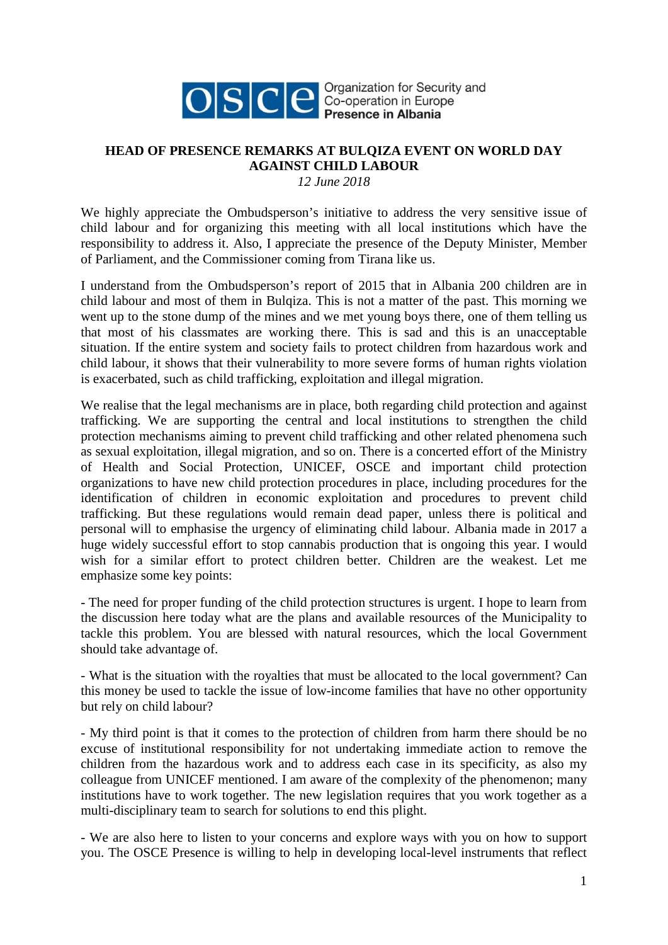

OSCE SCE presence in Albania

## **HEAD OF PRESENCE REMARKS AT BULQIZA EVENT ON WORLD DAY AGAINST CHILD LABOUR**

*12 June 2018*

We highly appreciate the Ombudsperson's initiative to address the very sensitive issue of child labour and for organizing this meeting with all local institutions which have the responsibility to address it. Also, I appreciate the presence of the Deputy Minister, Member of Parliament, and the Commissioner coming from Tirana like us.

I understand from the Ombudsperson's report of 2015 that in Albania 200 children are in child labour and most of them in Bulqiza. This is not a matter of the past. This morning we went up to the stone dump of the mines and we met young boys there, one of them telling us that most of his classmates are working there. This is sad and this is an unacceptable situation. If the entire system and society fails to protect children from hazardous work and child labour, it shows that their vulnerability to more severe forms of human rights violation is exacerbated, such as child trafficking, exploitation and illegal migration.

We realise that the legal mechanisms are in place, both regarding child protection and against trafficking. We are supporting the central and local institutions to strengthen the child protection mechanisms aiming to prevent child trafficking and other related phenomena such as sexual exploitation, illegal migration, and so on. There is a concerted effort of the Ministry of Health and Social Protection, UNICEF, OSCE and important child protection organizations to have new child protection procedures in place, including procedures for the identification of children in economic exploitation and procedures to prevent child trafficking. But these regulations would remain dead paper, unless there is political and personal will to emphasise the urgency of eliminating child labour. Albania made in 2017 a huge widely successful effort to stop cannabis production that is ongoing this year. I would wish for a similar effort to protect children better. Children are the weakest. Let me emphasize some key points:

- The need for proper funding of the child protection structures is urgent. I hope to learn from the discussion here today what are the plans and available resources of the Municipality to tackle this problem. You are blessed with natural resources, which the local Government should take advantage of.

- What is the situation with the royalties that must be allocated to the local government? Can this money be used to tackle the issue of low-income families that have no other opportunity but rely on child labour?

- My third point is that it comes to the protection of children from harm there should be no excuse of institutional responsibility for not undertaking immediate action to remove the children from the hazardous work and to address each case in its specificity, as also my colleague from UNICEF mentioned. I am aware of the complexity of the phenomenon; many institutions have to work together. The new legislation requires that you work together as a multi-disciplinary team to search for solutions to end this plight.

- We are also here to listen to your concerns and explore ways with you on how to support you. The OSCE Presence is willing to help in developing local-level instruments that reflect